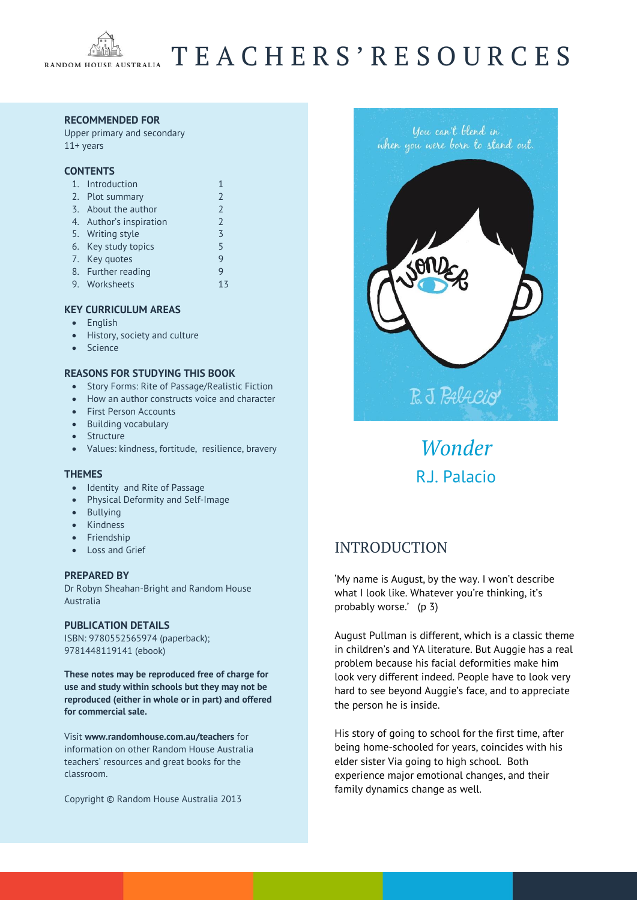

# T E A C H E R S ' R E S O U R C E S

#### **RECOMMENDED FOR**

Upper primary and secondary 11+ years

#### **CONTENTS**

| 1. Introduction         |                          |
|-------------------------|--------------------------|
| 2. Plot summary         | $\overline{\phantom{0}}$ |
| 3. About the author     | $\overline{\phantom{0}}$ |
| 4. Author's inspiration | $\overline{\phantom{0}}$ |
| 5. Writing style        | $\overline{5}$           |
| 6. Key study topics     | 5                        |
| 7. Key quotes           | q                        |
| 8. Further reading      |                          |
| 9. Worksheets           | ス                        |
|                         |                          |

#### **KEY CURRICULUM AREAS**

- English
- History, society and culture
- Science

#### **REASONS FOR STUDYING THIS BOOK**

- Story Forms: Rite of Passage/Realistic Fiction
- How an author constructs voice and character
- First Person Accounts
- Building vocabulary
- Structure
- Values: kindness, fortitude, resilience, bravery

#### **THEMES**

- Identity and Rite of Passage
- Physical Deformity and Self-Image
- Bullying
- Kindness
- Friendship
- Loss and Grief

#### **PREPARED BY**

Dr Robyn Sheahan-Bright and Random House Australia

#### **PUBLICATION DETAILS**

ISBN: 9780552565974 (paperback); 9781448119141 (ebook)

**These notes may be reproduced free of charge for use and study within schools but they may not be reproduced (either in whole or in part) and offered for commercial sale.** 

Visit **[www.randomhouse.com.au/teachers](http://www.randomhouse.com.au/teachers)** for information on other Random House Australia teachers' resources and great books for the classroom.

Copyright © Random House Australia 2013



*Wonder* R.J. Palacio

## INTRODUCTION

'My name is August, by the way. I won't describe what I look like. Whatever you're thinking, it's probably worse.' (p 3)

August Pullman is different, which is a classic theme in children's and YA literature. But Auggie has a real problem because his facial deformities make him look very different indeed. People have to look very hard to see beyond Auggie's face, and to appreciate the person he is inside.

His story of going to school for the first time, after being home-schooled for years, coincides with his elder sister Via going to high school. Both experience major emotional changes, and their family dynamics change as well.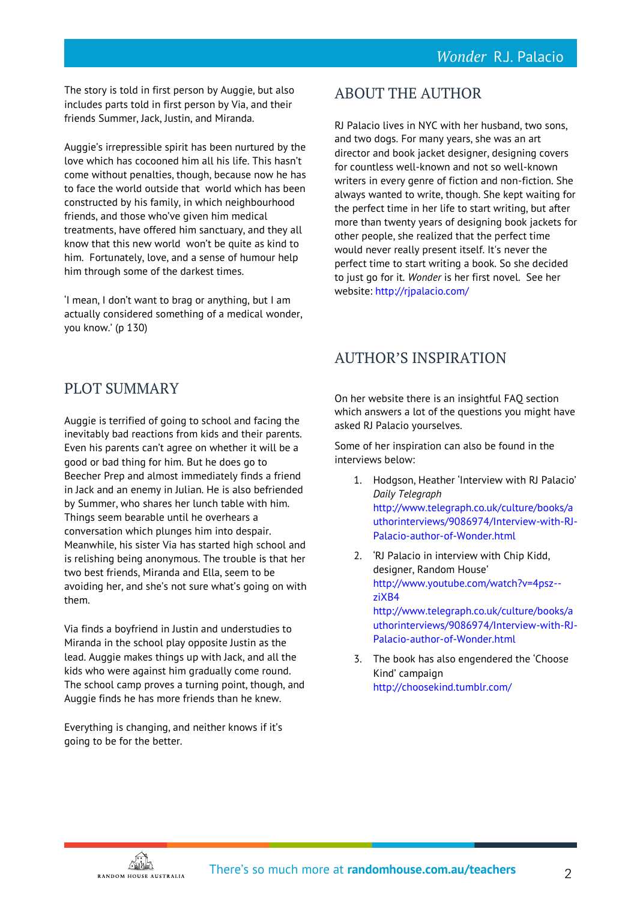The story is told in first person by Auggie, but also includes parts told in first person by Via, and their friends Summer, Jack, Justin, and Miranda.

Auggie's irrepressible spirit has been nurtured by the love which has cocooned him all his life. This hasn't come without penalties, though, because now he has to face the world outside that world which has been constructed by his family, in which neighbourhood friends, and those who've given him medical treatments, have offered him sanctuary, and they all know that this new world won't be quite as kind to him. Fortunately, love, and a sense of humour help him through some of the darkest times.

'I mean, I don't want to brag or anything, but I am actually considered something of a medical wonder, you know.' (p 130)

## ABOUT THE AUTHOR

RJ Palacio lives in NYC with her husband, two sons, and two dogs. For many years, she was an art director and book jacket designer, designing covers for countless well-known and not so well-known writers in every genre of fiction and non-fiction. She always wanted to write, though. She kept waiting for the perfect time in her life to start writing, but after more than twenty years of designing book jackets for other people, she realized that the perfect time would never really present itself. It's never the perfect time to start writing a book. So she decided to just go for it. *Wonder* is her first novel. See her website:<http://rjpalacio.com/>

## AUTHOR'S INSPIRATION

PLOT SUMMARY

Auggie is terrified of going to school and facing the inevitably bad reactions from kids and their parents. Even his parents can't agree on whether it will be a good or bad thing for him. But he does go to Beecher Prep and almost immediately finds a friend in Jack and an enemy in Julian. He is also befriended by Summer, who shares her lunch table with him. Things seem bearable until he overhears a conversation which plunges him into despair. Meanwhile, his sister Via has started high school and is relishing being anonymous. The trouble is that her two best friends, Miranda and Ella, seem to be avoiding her, and she's not sure what's going on with them.

Via finds a boyfriend in Justin and understudies to Miranda in the school play opposite Justin as the lead. Auggie makes things up with Jack, and all the kids who were against him gradually come round. The school camp proves a turning point, though, and Auggie finds he has more friends than he knew.

Everything is changing, and neither knows if it's going to be for the better.

On her website there is an insightful FAQ section which answers a lot of the questions you might have asked RJ Palacio yourselves.

Some of her inspiration can also be found in the interviews below:

- 1. Hodgson, Heather 'Interview with RJ Palacio' *Daily Telegraph*  [http://www.telegraph.co.uk/culture/books/a](http://www.telegraph.co.uk/culture/books/authorinterviews/9086974/Interview-with-RJ-Palacio-author-of-Wonder.html) [uthorinterviews/9086974/Interview-with-RJ-](http://www.telegraph.co.uk/culture/books/authorinterviews/9086974/Interview-with-RJ-Palacio-author-of-Wonder.html)[Palacio-author-of-Wonder.html](http://www.telegraph.co.uk/culture/books/authorinterviews/9086974/Interview-with-RJ-Palacio-author-of-Wonder.html)
- 2. 'RJ Palacio in interview with Chip Kidd, designer, Random House' [http://www.youtube.com/watch?v=4psz-](http://www.youtube.com/watch?v=4psz--ziXB4) [ziXB4](http://www.youtube.com/watch?v=4psz--ziXB4) [http://www.telegraph.co.uk/culture/books/a](http://www.telegraph.co.uk/culture/books/authorinterviews/9086974/Interview-with-RJ-Palacio-author-of-Wonder.html) [uthorinterviews/9086974/Interview-with-RJ-](http://www.telegraph.co.uk/culture/books/authorinterviews/9086974/Interview-with-RJ-Palacio-author-of-Wonder.html)[Palacio-author-of-Wonder.html](http://www.telegraph.co.uk/culture/books/authorinterviews/9086974/Interview-with-RJ-Palacio-author-of-Wonder.html)
- 3. The book has also engendered the 'Choose Kind' campaign <http://choosekind.tumblr.com/>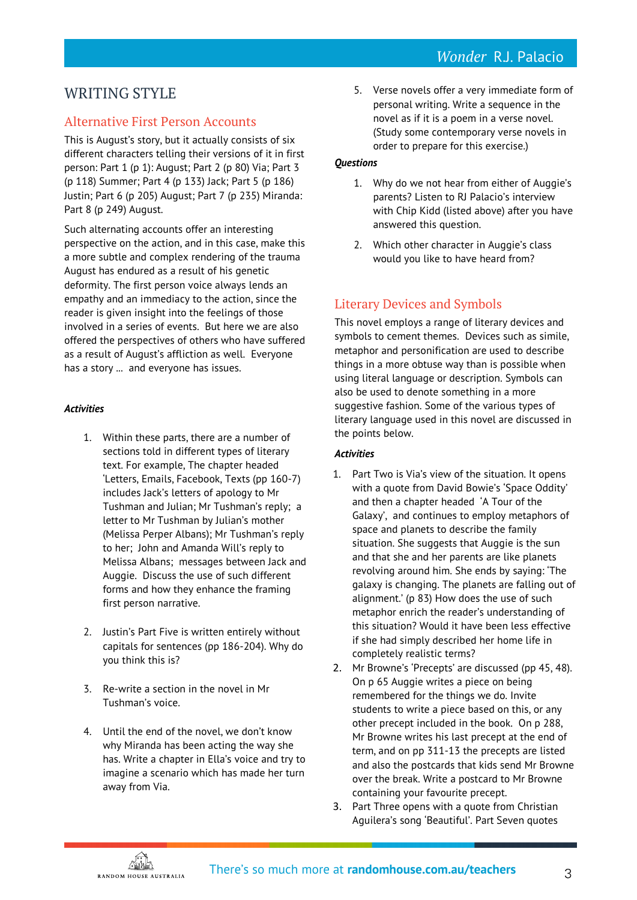## WRITING STYLE

## Alternative First Person Accounts

This is August's story, but it actually consists of six different characters telling their versions of it in first person: Part 1 (p 1): August; Part 2 (p 80) Via; Part 3 (p 118) Summer; Part 4 (p 133) Jack; Part 5 (p 186) Justin; Part 6 (p 205) August; Part 7 (p 235) Miranda: Part 8 (p 249) August.

Such alternating accounts offer an interesting perspective on the action, and in this case, make this a more subtle and complex rendering of the trauma August has endured as a result of his genetic deformity. The first person voice always lends an empathy and an immediacy to the action, since the reader is given insight into the feelings of those involved in a series of events. But here we are also offered the perspectives of others who have suffered as a result of August's affliction as well. Everyone has a story ... and everyone has issues.

### *Activities*

- 1. Within these parts, there are a number of sections told in different types of literary text. For example, The chapter headed 'Letters, Emails, Facebook, Texts (pp 160-7) includes Jack's letters of apology to Mr Tushman and Julian; Mr Tushman's reply; a letter to Mr Tushman by Julian's mother (Melissa Perper Albans); Mr Tushman's reply to her; John and Amanda Will's reply to Melissa Albans; messages between Jack and Auggie. Discuss the use of such different forms and how they enhance the framing first person narrative.
- 2. Justin's Part Five is written entirely without capitals for sentences (pp 186-204). Why do you think this is?
- 3. Re-write a section in the novel in Mr Tushman's voice.
- 4. Until the end of the novel, we don't know why Miranda has been acting the way she has. Write a chapter in Ella's voice and try to imagine a scenario which has made her turn away from Via.

5. Verse novels offer a very immediate form of personal writing. Write a sequence in the novel as if it is a poem in a verse novel. (Study some contemporary verse novels in order to prepare for this exercise.)

## *Questions*

- 1. Why do we not hear from either of Auggie's parents? Listen to RJ Palacio's interview with Chip Kidd (listed above) after you have answered this question.
- 2. Which other character in Auggie's class would you like to have heard from?

## Literary Devices and Symbols

This novel employs a range of literary devices and symbols to cement themes. Devices such as simile, metaphor and personification are used to describe things in a more obtuse way than is possible when using literal language or description. Symbols can also be used to denote something in a more suggestive fashion. Some of the various types of literary language used in this novel are discussed in the points below.

## *Activities*

- 1. Part Two is Via's view of the situation. It opens with a quote from David Bowie's 'Space Oddity' and then a chapter headed 'A Tour of the Galaxy', and continues to employ metaphors of space and planets to describe the family situation. She suggests that Auggie is the sun and that she and her parents are like planets revolving around him. She ends by saying: 'The galaxy is changing. The planets are falling out of alignment.' (p 83) How does the use of such metaphor enrich the reader's understanding of this situation? Would it have been less effective if she had simply described her home life in completely realistic terms?
- 2. Mr Browne's 'Precepts' are discussed (pp 45, 48). On p 65 Auggie writes a piece on being remembered for the things we do. Invite students to write a piece based on this, or any other precept included in the book. On p 288, Mr Browne writes his last precept at the end of term, and on pp 311-13 the precepts are listed and also the postcards that kids send Mr Browne over the break. Write a postcard to Mr Browne containing your favourite precept.
- 3. Part Three opens with a quote from Christian Aguilera's song 'Beautiful'. Part Seven quotes

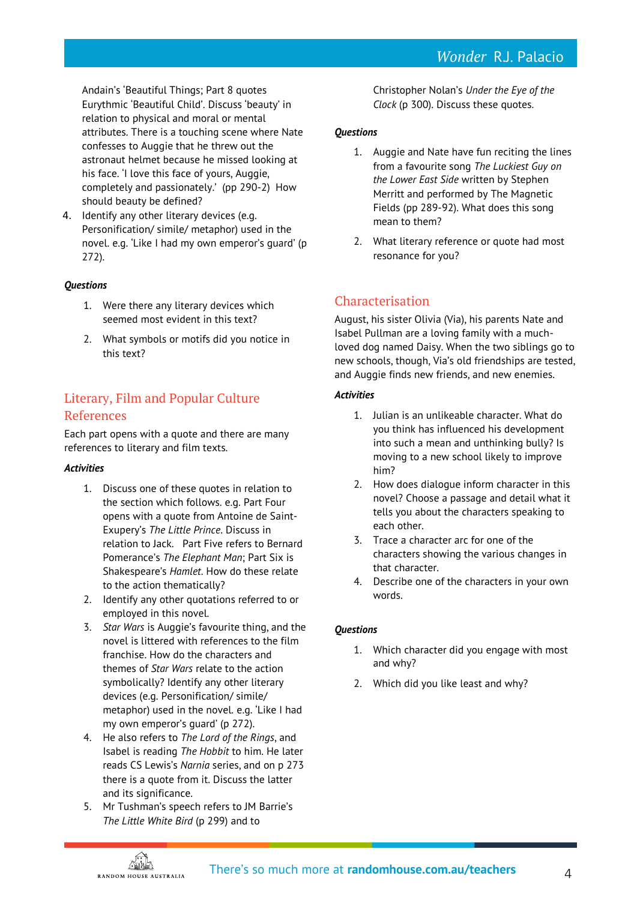Andain's 'Beautiful Things; Part 8 quotes Eurythmic 'Beautiful Child'. Discuss 'beauty' in relation to physical and moral or mental attributes. There is a touching scene where Nate confesses to Auggie that he threw out the astronaut helmet because he missed looking at his face. 'I love this face of yours, Auggie, completely and passionately.' (pp 290-2) How should beauty be defined?

4. Identify any other literary devices (e.g. Personification/ simile/ metaphor) used in the novel. e.g. 'Like I had my own emperor's guard' (p 272).

### *Questions*

- 1. Were there any literary devices which seemed most evident in this text?
- 2. What symbols or motifs did you notice in this text?

## Literary, Film and Popular Culture References

Each part opens with a quote and there are many references to literary and film texts.

#### *Activities*

- 1. Discuss one of these quotes in relation to the section which follows. e.g. Part Four opens with a quote from Antoine de Saint-Exupery's *The Little Prince*. Discuss in relation to Jack. Part Five refers to Bernard Pomerance's *The Elephant Man*; Part Six is Shakespeare's *Hamlet*. How do these relate to the action thematically?
- 2. Identify any other quotations referred to or employed in this novel.
- 3. *Star Wars* is Auggie's favourite thing, and the novel is littered with references to the film franchise. How do the characters and themes of *Star Wars* relate to the action symbolically? Identify any other literary devices (e.g. Personification/ simile/ metaphor) used in the novel. e.g. 'Like I had my own emperor's guard' (p 272).
- 4. He also refers to *The Lord of the Rings*, and Isabel is reading *The Hobbit* to him. He later reads CS Lewis's *Narnia* series, and on p 273 there is a quote from it. Discuss the latter and its significance.
- 5. Mr Tushman's speech refers to JM Barrie's *The Little White Bird* (p 299) and to

Christopher Nolan's *Under the Eye of the Clock* (p 300). Discuss these quotes.

## *Questions*

- 1. Auggie and Nate have fun reciting the lines from a favourite song *The Luckiest Guy on the Lower East Side* written by Stephen Merritt and performed by The Magnetic Fields (pp 289-92). What does this song mean to them?
- 2. What literary reference or quote had most resonance for you?

## Characterisation

August, his sister Olivia (Via), his parents Nate and Isabel Pullman are a loving family with a muchloved dog named Daisy. When the two siblings go to new schools, though, Via's old friendships are tested, and Auggie finds new friends, and new enemies.

### *Activities*

- 1. Julian is an unlikeable character. What do you think has influenced his development into such a mean and unthinking bully? Is moving to a new school likely to improve him?
- 2. How does dialogue inform character in this novel? Choose a passage and detail what it tells you about the characters speaking to each other.
- 3. Trace a character arc for one of the characters showing the various changes in that character.
- 4. Describe one of the characters in your own words.

## *Questions*

- 1. Which character did you engage with most and why?
- 2. Which did you like least and why?

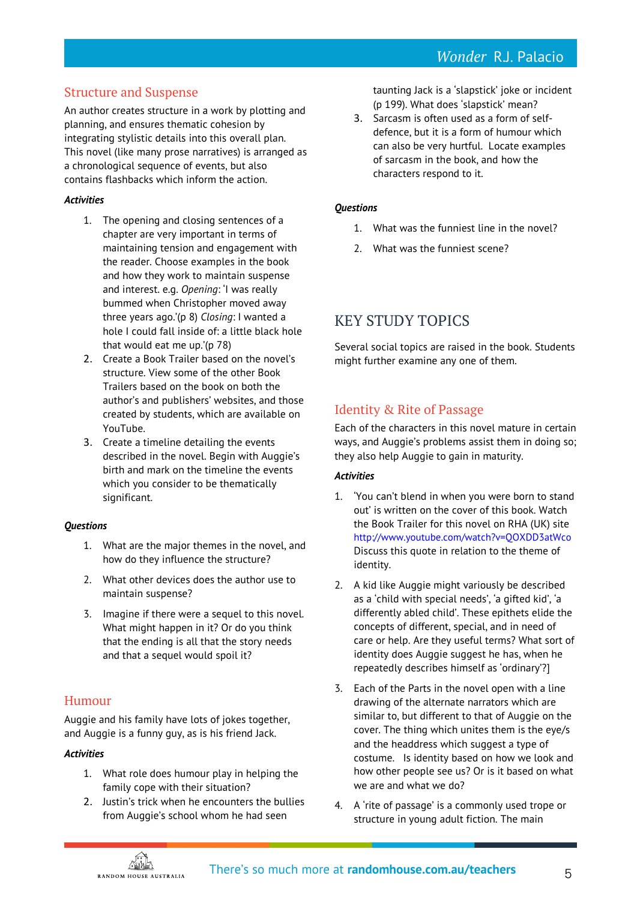## *Wonder* R.J. Palacio

## Structure and Suspense

An author creates structure in a work by plotting and planning, and ensures thematic cohesion by integrating stylistic details into this overall plan. This novel (like many prose narratives) is arranged as a chronological sequence of events, but also contains flashbacks which inform the action.

#### *Activities*

- 1. The opening and closing sentences of a chapter are very important in terms of maintaining tension and engagement with the reader. Choose examples in the book and how they work to maintain suspense and interest. e.g. *Opening*: 'I was really bummed when Christopher moved away three years ago.'(p 8) *Closing*: I wanted a hole I could fall inside of: a little black hole that would eat me up.'(p 78)
- 2. Create a Book Trailer based on the novel's structure. View some of the other Book Trailers based on the book on both the author's and publishers' websites, and those created by students, which are available on YouTube.
- 3. Create a timeline detailing the events described in the novel. Begin with Auggie's birth and mark on the timeline the events which you consider to be thematically significant.

#### *Questions*

- 1. What are the major themes in the novel, and how do they influence the structure?
- 2. What other devices does the author use to maintain suspense?
- 3. Imagine if there were a sequel to this novel. What might happen in it? Or do you think that the ending is all that the story needs and that a sequel would spoil it?

## Humour

Auggie and his family have lots of jokes together, and Auggie is a funny guy, as is his friend Jack.

#### *Activities*

- 1. What role does humour play in helping the family cope with their situation?
- 2. Justin's trick when he encounters the bullies from Auggie's school whom he had seen

taunting Jack is a 'slapstick' joke or incident (p 199). What does 'slapstick' mean?

3. Sarcasm is often used as a form of selfdefence, but it is a form of humour which can also be very hurtful. Locate examples of sarcasm in the book, and how the characters respond to it.

#### *Questions*

- 1. What was the funniest line in the novel?
- 2. What was the funniest scene?

## KEY STUDY TOPICS

Several social topics are raised in the book. Students might further examine any one of them.

## Identity & Rite of Passage

Each of the characters in this novel mature in certain ways, and Auggie's problems assist them in doing so; they also help Auggie to gain in maturity.

## *Activities*

- 1. 'You can't blend in when you were born to stand out' is written on the cover of this book. Watch the Book Trailer for this novel on RHA (UK) site <http://www.youtube.com/watch?v=QOXDD3atWco> Discuss this quote in relation to the theme of identity.
- 2. A kid like Auggie might variously be described as a 'child with special needs', 'a gifted kid', 'a differently abled child'. These epithets elide the concepts of different, special, and in need of care or help. Are they useful terms? What sort of identity does Auggie suggest he has, when he repeatedly describes himself as 'ordinary'?]
- 3. Each of the Parts in the novel open with a line drawing of the alternate narrators which are similar to, but different to that of Auggie on the cover. The thing which unites them is the eye/s and the headdress which suggest a type of costume. Is identity based on how we look and how other people see us? Or is it based on what we are and what we do?
- 4. A 'rite of passage' is a commonly used trope or structure in young adult fiction. The main

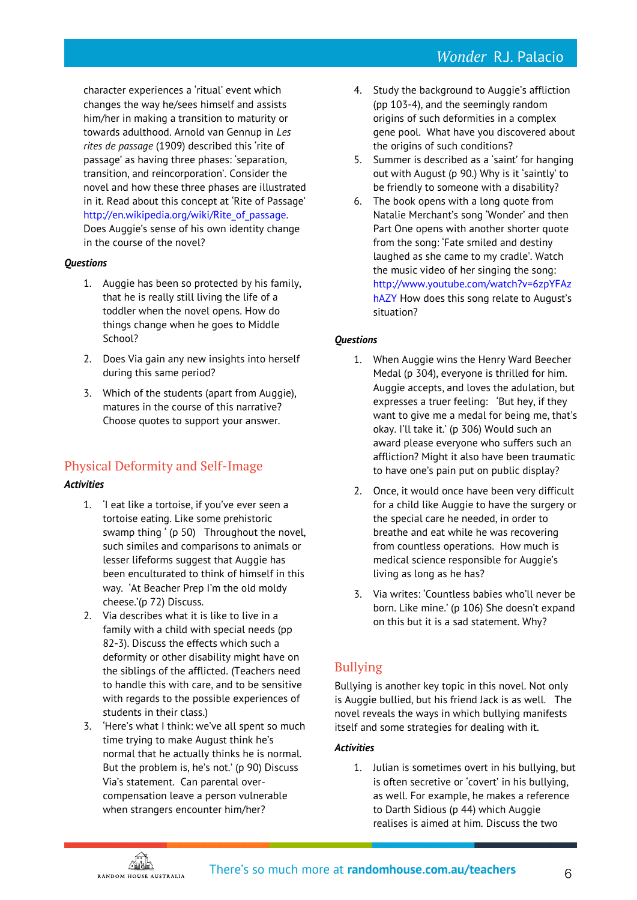## *Wonder* R.J. Palacio

character experiences a 'ritual' event which changes the way he/sees himself and assists him/her in making a transition to maturity or towards adulthood. Arnold van Gennup in *Les rites de passage* (1909) described this 'rite of passage' as having three phases: 'separation, transition, and reincorporation'. Consider the novel and how these three phases are illustrated in it. Read about this concept at 'Rite of Passage' [http://en.wikipedia.org/wiki/Rite\\_of\\_passage.](http://en.wikipedia.org/wiki/Rite_of_passage)  Does Auggie's sense of his own identity change in the course of the novel?

#### *Questions*

- 1. Auggie has been so protected by his family, that he is really still living the life of a toddler when the novel opens. How do things change when he goes to Middle School?
- 2. Does Via gain any new insights into herself during this same period?
- 3. Which of the students (apart from Auggie), matures in the course of this narrative? Choose quotes to support your answer.

## Physical Deformity and Self-Image

#### *Activities*

- 1. 'I eat like a tortoise, if you've ever seen a tortoise eating. Like some prehistoric swamp thing ' (p 50) Throughout the novel, such similes and comparisons to animals or lesser lifeforms suggest that Auggie has been enculturated to think of himself in this way. 'At Beacher Prep I'm the old moldy cheese.'(p 72) Discuss.
- 2. Via describes what it is like to live in a family with a child with special needs (pp 82-3). Discuss the effects which such a deformity or other disability might have on the siblings of the afflicted. (Teachers need to handle this with care, and to be sensitive with regards to the possible experiences of students in their class.)
- 3. 'Here's what I think: we've all spent so much time trying to make August think he's normal that he actually thinks he is normal. But the problem is, he's not.' (p 90) Discuss Via's statement. Can parental overcompensation leave a person vulnerable when strangers encounter him/her?
- 4. Study the background to Auggie's affliction (pp 103-4), and the seemingly random origins of such deformities in a complex gene pool. What have you discovered about the origins of such conditions?
- 5. Summer is described as a 'saint' for hanging out with August (p 90.) Why is it 'saintly' to be friendly to someone with a disability?
- 6. The book opens with a long quote from Natalie Merchant's song 'Wonder' and then Part One opens with another shorter quote from the song: 'Fate smiled and destiny laughed as she came to my cradle'. Watch the music video of her singing the song: [http://www.youtube.com/watch?v=6zpYFAz](http://www.youtube.com/watch?v=6zpYFAzhAZY) [hAZY](http://www.youtube.com/watch?v=6zpYFAzhAZY) How does this song relate to August's situation?

#### *Questions*

- 1. When Auggie wins the Henry Ward Beecher Medal (p 304), everyone is thrilled for him. Auggie accepts, and loves the adulation, but expresses a truer feeling: 'But hey, if they want to give me a medal for being me, that's okay. I'll take it.' (p 306) Would such an award please everyone who suffers such an affliction? Might it also have been traumatic to have one's pain put on public display?
- 2. Once, it would once have been very difficult for a child like Auggie to have the surgery or the special care he needed, in order to breathe and eat while he was recovering from countless operations. How much is medical science responsible for Auggie's living as long as he has?
- 3. Via writes: 'Countless babies who'll never be born. Like mine.' (p 106) She doesn't expand on this but it is a sad statement. Why?

## Bullying

Bullying is another key topic in this novel. Not only is Auggie bullied, but his friend Jack is as well. The novel reveals the ways in which bullying manifests itself and some strategies for dealing with it.

## *Activities*

1. Julian is sometimes overt in his bullying, but is often secretive or 'covert' in his bullying, as well. For example, he makes a reference to Darth Sidious (p 44) which Auggie realises is aimed at him. Discuss the two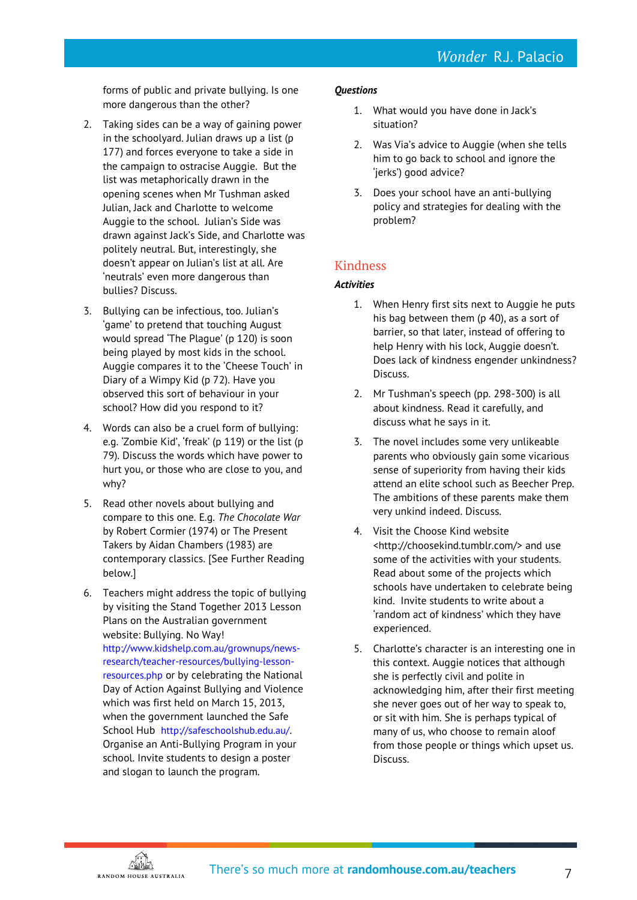forms of public and private bullying. Is one more dangerous than the other?

- 2. Taking sides can be a way of gaining power in the schoolyard. Julian draws up a list (p 177) and forces everyone to take a side in the campaign to ostracise Auggie. But the list was metaphorically drawn in the opening scenes when Mr Tushman asked Julian, Jack and Charlotte to welcome Auggie to the school. Julian's Side was drawn against Jack's Side, and Charlotte was politely neutral. But, interestingly, she doesn't appear on Julian's list at all. Are 'neutrals' even more dangerous than bullies? Discuss.
- 3. Bullying can be infectious, too. Julian's 'game' to pretend that touching August would spread 'The Plague' (p 120) is soon being played by most kids in the school. Auggie compares it to the 'Cheese Touch' in Diary of a Wimpy Kid (p 72). Have you observed this sort of behaviour in your school? How did you respond to it?
- 4. Words can also be a cruel form of bullying: e.g. 'Zombie Kid', 'freak' (p 119) or the list (p 79). Discuss the words which have power to hurt you, or those who are close to you, and why?
- 5. Read other novels about bullying and compare to this one. E.g. *The Chocolate War* by Robert Cormier (1974) or The Present Takers by Aidan Chambers (1983) are contemporary classics. [See Further Reading below.]
- 6. Teachers might address the topic of bullying by visiting the Stand Together 2013 Lesson Plans on the Australian government website: Bullying. No Way! [http://www.kidshelp.com.au/grownups/news](http://www.kidshelp.com.au/grownups/news-research/teacher-resources/bullying-lesson-resources.php)[research/teacher-resources/bullying-lesson](http://www.kidshelp.com.au/grownups/news-research/teacher-resources/bullying-lesson-resources.php)[resources.php](http://www.kidshelp.com.au/grownups/news-research/teacher-resources/bullying-lesson-resources.php) or by celebrating the National Day of Action Against Bullying and Violence which was first held on March 15, 2013, when the government launched the Safe School Hub <http://safeschoolshub.edu.au/>. Organise an Anti-Bullying Program in your school. Invite students to design a poster and slogan to launch the program.

### *Questions*

- 1. What would you have done in Jack's situation?
- 2. Was Via's advice to Auggie (when she tells him to go back to school and ignore the 'jerks') good advice?
- 3. Does your school have an anti-bullying policy and strategies for dealing with the problem?

## Kindness

## *Activities*

- 1. When Henry first sits next to Auggie he puts his bag between them (p 40), as a sort of barrier, so that later, instead of offering to help Henry with his lock, Auggie doesn't. Does lack of kindness engender unkindness? Discuss.
- 2. Mr Tushman's speech (pp. 298-300) is all about kindness. Read it carefully, and discuss what he says in it.
- 3. The novel includes some very unlikeable parents who obviously gain some vicarious sense of superiority from having their kids attend an elite school such as Beecher Prep. The ambitions of these parents make them very unkind indeed. Discuss.
- 4. Visit the Choose Kind website <http://choosekind.tumblr.com/> and use some of the activities with your students. Read about some of the projects which schools have undertaken to celebrate being kind. Invite students to write about a 'random act of kindness' which they have experienced.
- 5. Charlotte's character is an interesting one in this context. Auggie notices that although she is perfectly civil and polite in acknowledging him, after their first meeting she never goes out of her way to speak to, or sit with him. She is perhaps typical of many of us, who choose to remain aloof from those people or things which upset us. Discuss.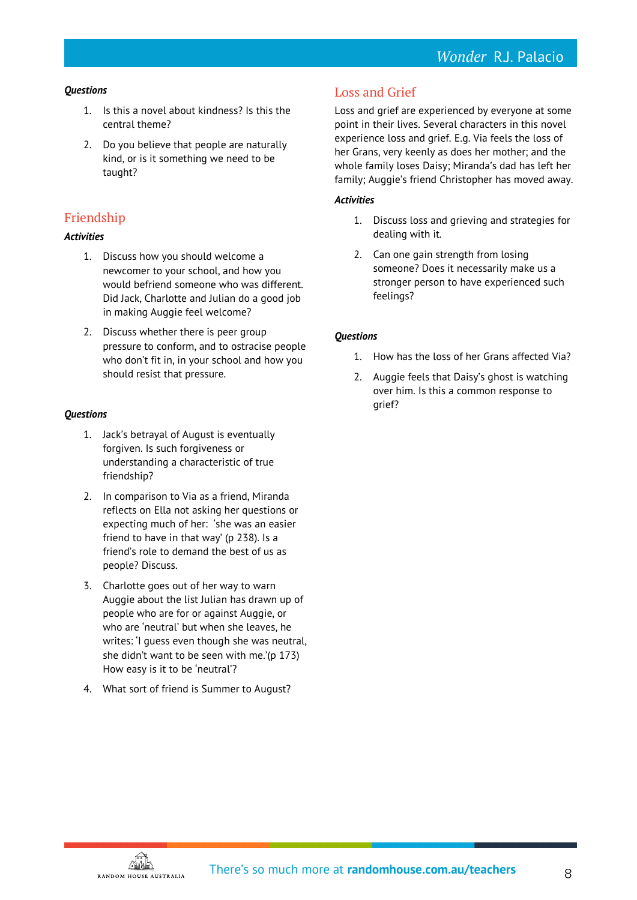#### *Questions*

- 1. Is this a novel about kindness? Is this the central theme?
- 2. Do you believe that people are naturally kind, or is it something we need to be taught?

## Friendship

#### *Activities*

- 1. Discuss how you should welcome a newcomer to your school, and how you would befriend someone who was different. Did Jack, Charlotte and Julian do a good job in making Auggie feel welcome?
- 2. Discuss whether there is peer group pressure to conform, and to ostracise people who don't fit in, in your school and how you should resist that pressure.

#### *Questions*

- 1. Jack's betrayal of August is eventually forgiven. Is such forgiveness or understanding a characteristic of true friendship?
- 2. In comparison to Via as a friend, Miranda reflects on Ella not asking her questions or expecting much of her: 'she was an easier friend to have in that way' (p 238). Is a friend's role to demand the best of us as people? Discuss.
- 3. Charlotte goes out of her way to warn Auggie about the list Julian has drawn up of people who are for or against Auggie, or who are 'neutral' but when she leaves, he writes: 'I guess even though she was neutral, she didn't want to be seen with me.'(p 173) How easy is it to be 'neutral'?
- 4. What sort of friend is Summer to August?

## Loss and Grief

Loss and grief are experienced by everyone at some point in their lives. Several characters in this novel experience loss and grief. E.g. Via feels the loss of her Grans, very keenly as does her mother; and the whole family loses Daisy; Miranda's dad has left her family; Auggie's friend Christopher has moved away.

#### *Activities*

- 1. Discuss loss and grieving and strategies for dealing with it.
- 2. Can one gain strength from losing someone? Does it necessarily make us a stronger person to have experienced such feelings?

### *Questions*

- 1. How has the loss of her Grans affected Via?
- 2. Auggie feels that Daisy's ghost is watching over him. Is this a common response to grief?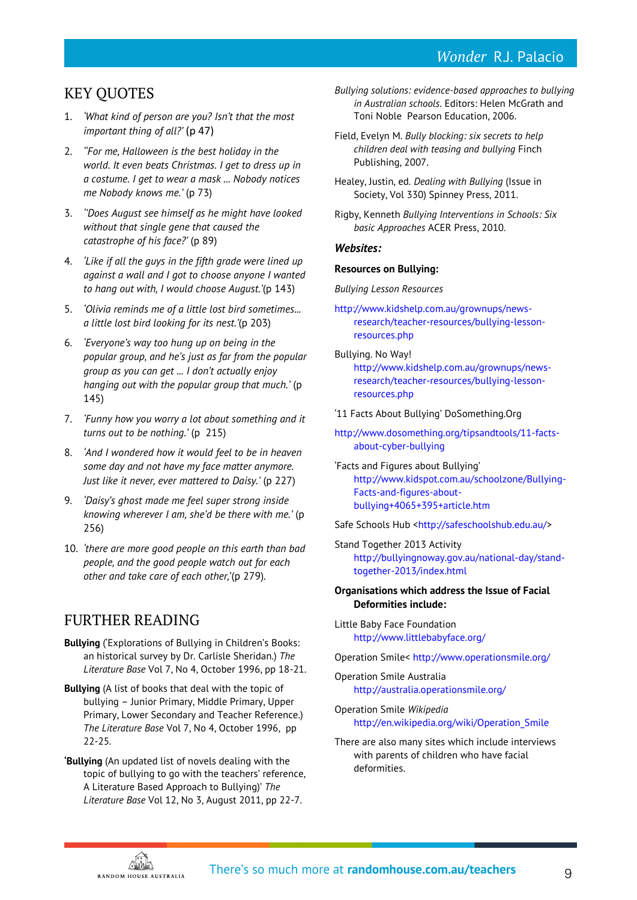## *Wonder* R.J. Palacio

## KEY QUOTES

- 1. *'What kind of person are you? Isn't that the most important thing of all?'* (p 47)
- 2. *''For me, Halloween is the best holiday in the world. It even beats Christmas. I get to dress up in a costume. I get to wear a mask ... Nobody notices me Nobody knows me.'* (p 73)
- 3. *''Does August see himself as he might have looked without that single gene that caused the catastrophe of his face?'* (p 89)
- 4. *'Like if all the guys in the fifth grade were lined up against a wall and I got to choose anyone I wanted to hang out with, I would choose August.'*(p 143)
- 5. *'Olivia reminds me of a little lost bird sometimes... a little lost bird looking for its nest.'*(p 203)
- 6. *'Everyone's way too hung up on being in the popular group, and he's just as far from the popular group as you can get ... I don't actually enjoy hanging out with the popular group that much.'* (p 145)
- 7. *'Funny how you worry a lot about something and it turns out to be nothing.'* (p 215)
- 8. *'And I wondered how it would feel to be in heaven some day and not have my face matter anymore. Just like it never, ever mattered to Daisy.'* (p 227)
- 9. *'Daisy's ghost made me feel super strong inside knowing wherever I am, she'd be there with me.'* (p 256)
- 10. *'there are more good people on this earth than bad people, and the good people watch out for each other and take care of each other,*'(p 279).

## FURTHER READING

- **Bullying** ('Explorations of Bullying in Children's Books: an historical survey by Dr. Carlisle Sheridan.) *The Literature Base* Vol 7, No 4, October 1996, pp 18-21.
- **Bullying** (A list of books that deal with the topic of bullying – Junior Primary, Middle Primary, Upper Primary, Lower Secondary and Teacher Reference.) *The Literature Base* Vol 7, No 4, October 1996, pp 22-25.
- **'Bullying** (An updated list of novels dealing with the topic of bullying to go with the teachers' reference, A Literature Based Approach to Bullying)' *The Literature Base* Vol 12, No 3, August 2011, pp 22-7.
- *Bullying solutions: evidence-based approaches to bullying in Australian schools*. Editors: Helen McGrath and Toni Noble Pearson Education, 2006.
- Field, Evelyn M. *Bully blocking: six secrets to help children deal with teasing and bullying* Finch Publishing, 2007.
- Healey, Justin, ed. *Dealing with Bullying* (Issue in Society, Vol 330) Spinney Press, 2011.
- Rigby, Kenneth *Bullying Interventions in Schools: Six basic Approaches* ACER Press, 2010.

#### *Websites:*

#### **Resources on Bullying:**

*Bullying Lesson Resources*

- [http://www.kidshelp.com.au/grownups/news](http://www.kidshelp.com.au/grownups/news-research/teacher-resources/bullying-lesson-resources.php)[research/teacher-resources/bullying-lesson](http://www.kidshelp.com.au/grownups/news-research/teacher-resources/bullying-lesson-resources.php)[resources.php](http://www.kidshelp.com.au/grownups/news-research/teacher-resources/bullying-lesson-resources.php)
- Bullying. No Way! [http://www.kidshelp.com.au/grownups/news](http://www.kidshelp.com.au/grownups/news-research/teacher-resources/bullying-lesson-resources.php)[research/teacher-resources/bullying-lesson](http://www.kidshelp.com.au/grownups/news-research/teacher-resources/bullying-lesson-resources.php)[resources.php](http://www.kidshelp.com.au/grownups/news-research/teacher-resources/bullying-lesson-resources.php)

'11 Facts About Bullying' DoSomething.Org

- [http://www.dosomething.org/tipsandtools/11-facts](http://www.dosomething.org/tipsandtools/11-facts-about-cyber-bullying)[about-cyber-bullying](http://www.dosomething.org/tipsandtools/11-facts-about-cyber-bullying)
- 'Facts and Figures about Bullying' [http://www.kidspot.com.au/schoolzone/Bullying-](http://www.kidspot.com.au/schoolzone/Bullying-Facts-and-figures-about-bullying+4065+395+article.htm)[Facts-and-figures-about](http://www.kidspot.com.au/schoolzone/Bullying-Facts-and-figures-about-bullying+4065+395+article.htm)[bullying+4065+395+article.htm](http://www.kidspot.com.au/schoolzone/Bullying-Facts-and-figures-about-bullying+4065+395+article.htm)

Safe Schools Hub [<http://safeschoolshub.edu.au/>](http://safeschoolshub.edu.au/)

Stand Together 2013 Activity [http://bullyingnoway.gov.au/national-day/stand](http://bullyingnoway.gov.au/national-day/stand-together-2013/index.html)[together-2013/index.html](http://bullyingnoway.gov.au/national-day/stand-together-2013/index.html)

#### **Organisations which address the Issue of Facial Deformities include:**

Little Baby Face Foundation <http://www.littlebabyface.org/>

Operation Smile< <http://www.operationsmile.org/>

- Operation Smile Australia <http://australia.operationsmile.org/>
- Operation Smile *Wikipedia* [http://en.wikipedia.org/wiki/Operation\\_Smile](http://en.wikipedia.org/wiki/Operation_Smile)
- There are also many sites which include interviews with parents of children who have facial deformities.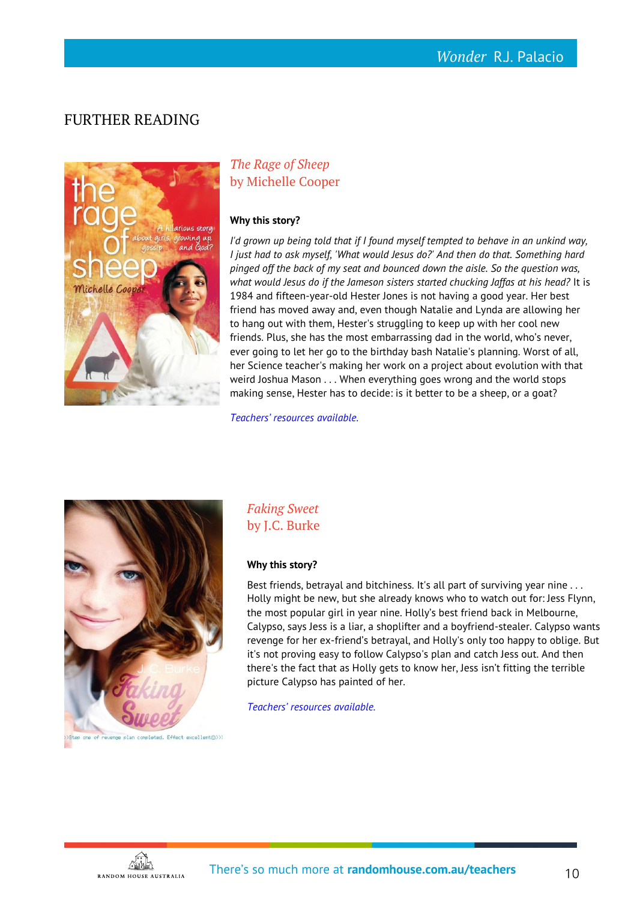## FURTHER READING



## *The Rage of Sheep* by Michelle Cooper

#### **Why this story?**

*I'd grown up being told that if I found myself tempted to behave in an unkind way, I just had to ask myself, 'What would Jesus do?' And then do that. Something hard pinged off the back of my seat and bounced down the aisle. So the question was,*  what would Jesus do if the Jameson sisters started chucking Jaffas at his head? It is 1984 and fifteen-year-old Hester Jones is not having a good year. Her best friend has moved away and, even though Natalie and Lynda are allowing her to hang out with them, Hester's struggling to keep up with her cool new friends. Plus, she has the most embarrassing dad in the world, who's never, ever going to let her go to the birthday bash Natalie's planning. Worst of all, her Science teacher's making her work on a project about evolution with that weird Joshua Mason . . . When everything goes wrong and the world stops making sense, Hester has to decide: is it better to be a sheep, or a goat?

*[Teachers' resources available.](http://www.randomhouse.com.au/teachers)*



*Faking Sweet* by J.C. Burke

#### **Why this story?**

Best friends, betrayal and bitchiness. It's all part of surviving year nine ... Holly might be new, but she already knows who to watch out for: Jess Flynn, the most popular girl in year nine. Holly's best friend back in Melbourne, Calypso, says Jess is a liar, a shoplifter and a boyfriend-stealer. Calypso wants revenge for her ex-friend's betrayal, and Holly's only too happy to oblige. But it's not proving easy to follow Calypso's plan and catch Jess out. And then there's the fact that as Holly gets to know her, Jess isn't fitting the terrible picture Calypso has painted of her.

*[Teachers' resources available.](http://www.randomhouse.com.au/teachers)*



<u>Ann</u> RANDOM HOUSE AUSTRALIA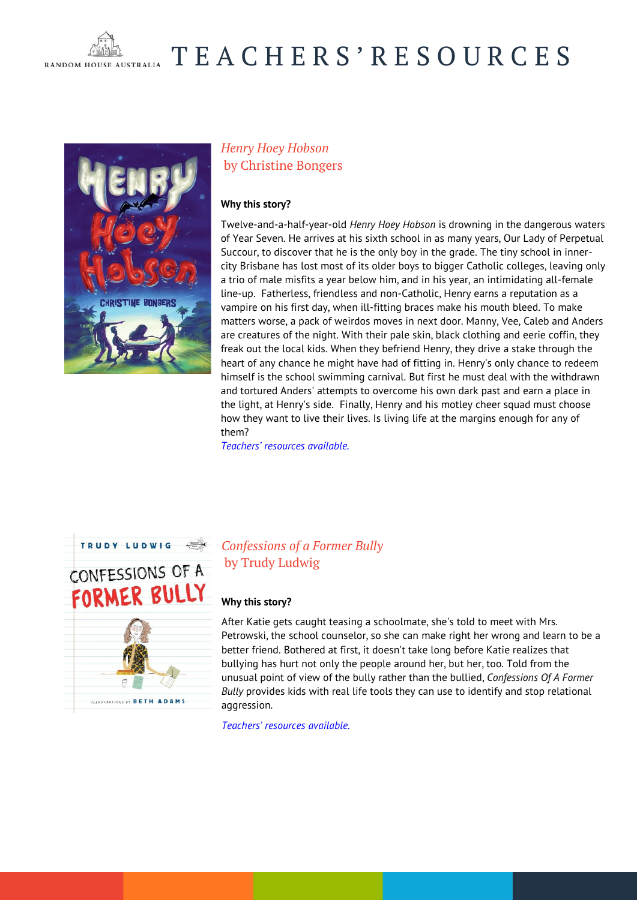

# T E A C H E R S ' R E S O U R C E S



## *Henry Hoey Hobson* by Christine Bongers

#### **Why this story?**

Twelve-and-a-half-year-old *Henry Hoey Hobson* is drowning in the dangerous waters of Year Seven. He arrives at his sixth school in as many years, Our Lady of Perpetual Succour, to discover that he is the only boy in the grade. The tiny school in innercity Brisbane has lost most of its older boys to bigger Catholic colleges, leaving only a trio of male misfits a year below him, and in his year, an intimidating all-female line-up. Fatherless, friendless and non-Catholic, Henry earns a reputation as a vampire on his first day, when ill-fitting braces make his mouth bleed. To make matters worse, a pack of weirdos moves in next door. Manny, Vee, Caleb and Anders are creatures of the night. With their pale skin, black clothing and eerie coffin, they freak out the local kids. When they befriend Henry, they drive a stake through the heart of any chance he might have had of fitting in. Henry's only chance to redeem himself is the school swimming carnival. But first he must deal with the withdrawn and tortured Anders' attempts to overcome his own dark past and earn a place in the light, at Henry's side. Finally, Henry and his motley cheer squad must choose how they want to live their lives. Is living life at the margins enough for any of them?

*[Teachers' resources available.](http://www.randomhouse.com.au/teachers)*



## *Confessions of a Former Bully* by Trudy Ludwig

#### **Why this story?**

After Katie gets caught teasing a schoolmate, she's told to meet with Mrs. Petrowski, the school counselor, so she can make right her wrong and learn to be a better friend. Bothered at first, it doesn't take long before Katie realizes that bullying has hurt not only the people around her, but her, too. Told from the unusual point of view of the bully rather than the bullied, *Confessions Of A Former Bully* provides kids with real life tools they can use to identify and stop relational aggression.

*[Teachers' resources available.](http://www.randomhouse.com.au/teachers)*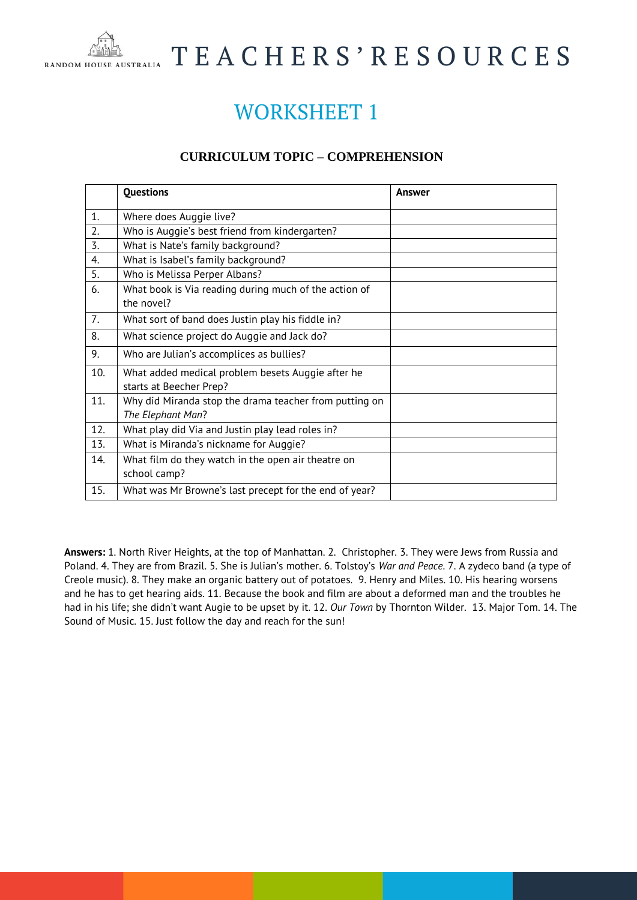

# T E A C H E R S ' R E S O U R C E S

## WORKSHEET 1

## **CURRICULUM TOPIC – COMPREHENSION**

|     | <b>Questions</b>                                                             | Answer |
|-----|------------------------------------------------------------------------------|--------|
| 1.  | Where does Auggie live?                                                      |        |
| 2.  | Who is Auggie's best friend from kindergarten?                               |        |
| 3.  | What is Nate's family background?                                            |        |
| 4.  | What is Isabel's family background?                                          |        |
| 5.  | Who is Melissa Perper Albans?                                                |        |
| 6.  | What book is Via reading during much of the action of<br>the novel?          |        |
| 7.  | What sort of band does Justin play his fiddle in?                            |        |
| 8.  | What science project do Auggie and Jack do?                                  |        |
| 9.  | Who are Julian's accomplices as bullies?                                     |        |
| 10. | What added medical problem besets Auggie after he<br>starts at Beecher Prep? |        |
| 11. | Why did Miranda stop the drama teacher from putting on<br>The Elephant Man?  |        |
| 12. | What play did Via and Justin play lead roles in?                             |        |
| 13. | What is Miranda's nickname for Auggie?                                       |        |
| 14. | What film do they watch in the open air theatre on<br>school camp?           |        |
| 15. | What was Mr Browne's last precept for the end of year?                       |        |

**Answers:** 1. North River Heights, at the top of Manhattan. 2. Christopher. 3. They were Jews from Russia and Poland. 4. They are from Brazil. 5. She is Julian's mother. 6. Tolstoy's *War and Peace*. 7. A zydeco band (a type of Creole music). 8. They make an organic battery out of potatoes. 9. Henry and Miles. 10. His hearing worsens and he has to get hearing aids. 11. Because the book and film are about a deformed man and the troubles he had in his life; she didn't want Augie to be upset by it. 12. *Our Town* by Thornton Wilder. 13. Major Tom. 14. The Sound of Music. 15. Just follow the day and reach for the sun!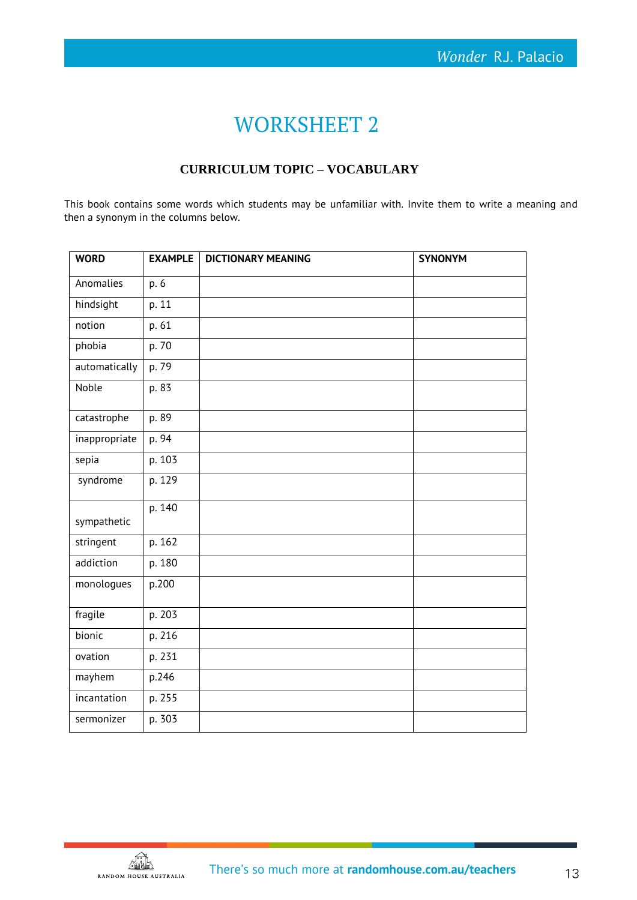## WORKSHEET 2

## **CURRICULUM TOPIC – VOCABULARY**

This book contains some words which students may be unfamiliar with. Invite them to write a meaning and then a synonym in the columns below.

| <b>WORD</b>   | <b>EXAMPLE</b> | <b>DICTIONARY MEANING</b> | <b>SYNONYM</b> |
|---------------|----------------|---------------------------|----------------|
| Anomalies     | p. 6           |                           |                |
| hindsight     | p. 11          |                           |                |
| notion        | p. 61          |                           |                |
| phobia        | p. 70          |                           |                |
| automatically | p. 79          |                           |                |
| Noble         | p. 83          |                           |                |
| catastrophe   | p. 89          |                           |                |
| inappropriate | p. 94          |                           |                |
| sepia         | p. 103         |                           |                |
| syndrome      | p. 129         |                           |                |
| sympathetic   | p. 140         |                           |                |
| stringent     | p. 162         |                           |                |
| addiction     | p. 180         |                           |                |
| monologues    | p.200          |                           |                |
| fragile       | p. 203         |                           |                |
| bionic        | p. 216         |                           |                |
| ovation       | p. 231         |                           |                |
| mayhem        | p.246          |                           |                |
| incantation   | p. 255         |                           |                |
| sermonizer    | p. 303         |                           |                |